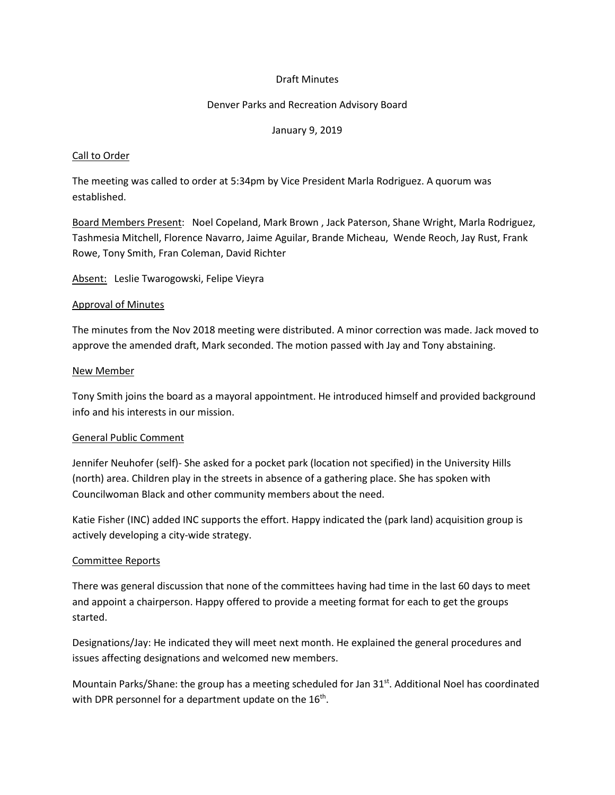## Draft Minutes

#### Denver Parks and Recreation Advisory Board

### January 9, 2019

#### Call to Order

The meeting was called to order at 5:34pm by Vice President Marla Rodriguez. A quorum was established.

Board Members Present: Noel Copeland, Mark Brown , Jack Paterson, Shane Wright, Marla Rodriguez, Tashmesia Mitchell, Florence Navarro, Jaime Aguilar, Brande Micheau, Wende Reoch, Jay Rust, Frank Rowe, Tony Smith, Fran Coleman, David Richter

Absent: Leslie Twarogowski, Felipe Vieyra

#### Approval of Minutes

The minutes from the Nov 2018 meeting were distributed. A minor correction was made. Jack moved to approve the amended draft, Mark seconded. The motion passed with Jay and Tony abstaining.

#### New Member

Tony Smith joins the board as a mayoral appointment. He introduced himself and provided background info and his interests in our mission.

#### General Public Comment

Jennifer Neuhofer (self)- She asked for a pocket park (location not specified) in the University Hills (north) area. Children play in the streets in absence of a gathering place. She has spoken with Councilwoman Black and other community members about the need.

Katie Fisher (INC) added INC supports the effort. Happy indicated the (park land) acquisition group is actively developing a city-wide strategy.

## Committee Reports

There was general discussion that none of the committees having had time in the last 60 days to meet and appoint a chairperson. Happy offered to provide a meeting format for each to get the groups started.

Designations/Jay: He indicated they will meet next month. He explained the general procedures and issues affecting designations and welcomed new members.

Mountain Parks/Shane: the group has a meeting scheduled for Jan 31st. Additional Noel has coordinated with DPR personnel for a department update on the 16<sup>th</sup>.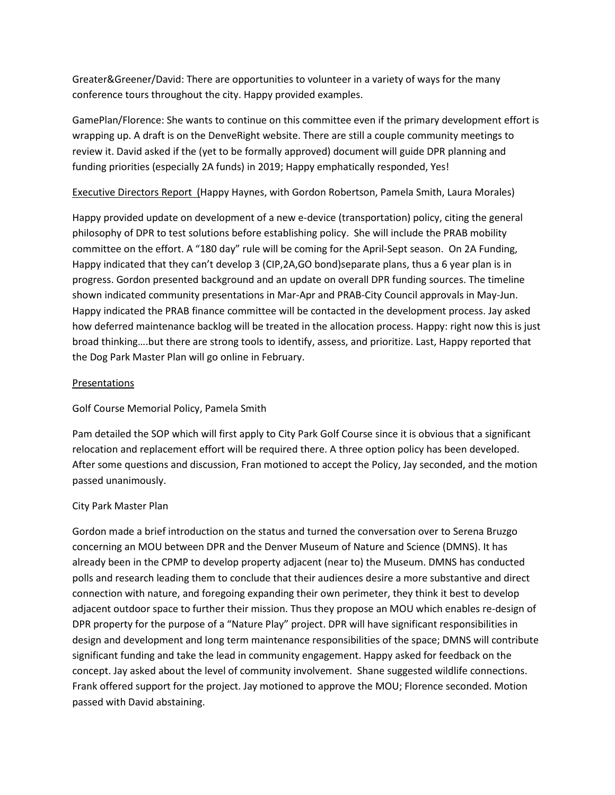Greater&Greener/David: There are opportunities to volunteer in a variety of ways for the many conference tours throughout the city. Happy provided examples.

GamePlan/Florence: She wants to continue on this committee even if the primary development effort is wrapping up. A draft is on the DenveRight website. There are still a couple community meetings to review it. David asked if the (yet to be formally approved) document will guide DPR planning and funding priorities (especially 2A funds) in 2019; Happy emphatically responded, Yes!

Executive Directors Report (Happy Haynes, with Gordon Robertson, Pamela Smith, Laura Morales)

Happy provided update on development of a new e-device (transportation) policy, citing the general philosophy of DPR to test solutions before establishing policy. She will include the PRAB mobility committee on the effort. A "180 day" rule will be coming for the April-Sept season. On 2A Funding, Happy indicated that they can't develop 3 (CIP,2A,GO bond)separate plans, thus a 6 year plan is in progress. Gordon presented background and an update on overall DPR funding sources. The timeline shown indicated community presentations in Mar-Apr and PRAB-City Council approvals in May-Jun. Happy indicated the PRAB finance committee will be contacted in the development process. Jay asked how deferred maintenance backlog will be treated in the allocation process. Happy: right now this is just broad thinking….but there are strong tools to identify, assess, and prioritize. Last, Happy reported that the Dog Park Master Plan will go online in February.

## **Presentations**

Golf Course Memorial Policy, Pamela Smith

Pam detailed the SOP which will first apply to City Park Golf Course since it is obvious that a significant relocation and replacement effort will be required there. A three option policy has been developed. After some questions and discussion, Fran motioned to accept the Policy, Jay seconded, and the motion passed unanimously.

## City Park Master Plan

Gordon made a brief introduction on the status and turned the conversation over to Serena Bruzgo concerning an MOU between DPR and the Denver Museum of Nature and Science (DMNS). It has already been in the CPMP to develop property adjacent (near to) the Museum. DMNS has conducted polls and research leading them to conclude that their audiences desire a more substantive and direct connection with nature, and foregoing expanding their own perimeter, they think it best to develop adjacent outdoor space to further their mission. Thus they propose an MOU which enables re-design of DPR property for the purpose of a "Nature Play" project. DPR will have significant responsibilities in design and development and long term maintenance responsibilities of the space; DMNS will contribute significant funding and take the lead in community engagement. Happy asked for feedback on the concept. Jay asked about the level of community involvement. Shane suggested wildlife connections. Frank offered support for the project. Jay motioned to approve the MOU; Florence seconded. Motion passed with David abstaining.